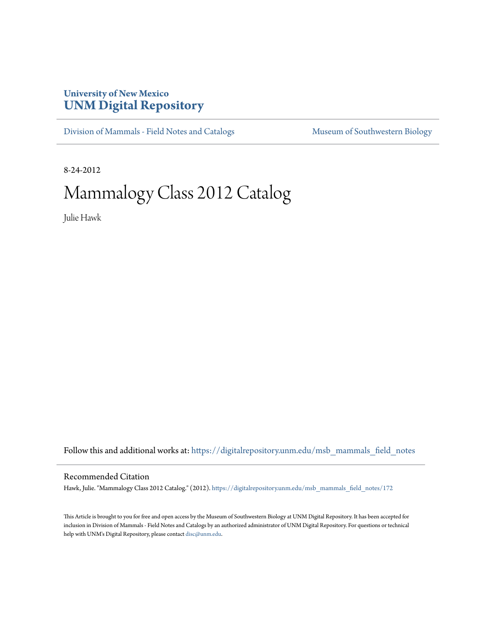## **University of New Mexico [UNM Digital Repository](https://digitalrepository.unm.edu?utm_source=digitalrepository.unm.edu%2Fmsb_mammals_field_notes%2F172&utm_medium=PDF&utm_campaign=PDFCoverPages)**

[Division of Mammals - Field Notes and Catalogs](https://digitalrepository.unm.edu/msb_mammals_field_notes?utm_source=digitalrepository.unm.edu%2Fmsb_mammals_field_notes%2F172&utm_medium=PDF&utm_campaign=PDFCoverPages) [Museum of Southwestern Biology](https://digitalrepository.unm.edu/msb?utm_source=digitalrepository.unm.edu%2Fmsb_mammals_field_notes%2F172&utm_medium=PDF&utm_campaign=PDFCoverPages)

8-24-2012

# Mammalogy Class 2012 Catalog

Julie Hawk

Follow this and additional works at: [https://digitalrepository.unm.edu/msb\\_mammals\\_field\\_notes](https://digitalrepository.unm.edu/msb_mammals_field_notes?utm_source=digitalrepository.unm.edu%2Fmsb_mammals_field_notes%2F172&utm_medium=PDF&utm_campaign=PDFCoverPages)

#### Recommended Citation

Hawk, Julie. "Mammalogy Class 2012 Catalog." (2012). [https://digitalrepository.unm.edu/msb\\_mammals\\_field\\_notes/172](https://digitalrepository.unm.edu/msb_mammals_field_notes/172?utm_source=digitalrepository.unm.edu%2Fmsb_mammals_field_notes%2F172&utm_medium=PDF&utm_campaign=PDFCoverPages)

This Article is brought to you for free and open access by the Museum of Southwestern Biology at UNM Digital Repository. It has been accepted for inclusion in Division of Mammals - Field Notes and Catalogs by an authorized administrator of UNM Digital Repository. For questions or technical help with UNM's Digital Repository, please contact [disc@unm.edu](mailto:disc@unm.edu).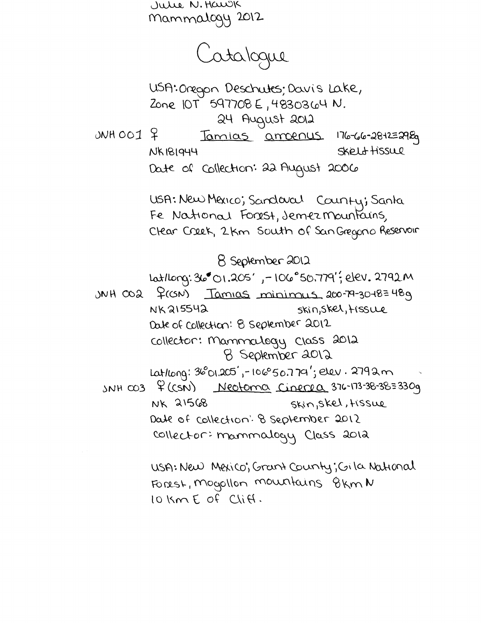Julie N. Hawk Mammalogy 2012

Catalogue

USA: Onegon Deschutes; Davis Lake, Zone 10T 597708 E, 4830364 N. 24 August 2012

 $ONHOO1$  ? Tamias amorrus 176-66-28-12=298g SKELL HiSSLLP **NK181944** 

Date of Collection: 22 August 2006

USA: New Mexico; Sandaral County; Santa Fe National Forest, Jemez Mountains, Clear Creek, 2km South of San Gregorio Reservoir

8 September 2012

Latlong: 36 01.205', -106 50.779'; elev. 2792 M

 $JNH$   $CO2$   $\frac{2}{100}$   $Tamias$  minimus  $200 - 79 - 30 - 8 = 489$ NK215542 skin, Skel, tissue Date of Collection: 8 september 2012 collector: Mammalogy Class 2012 8 September 2012 Lat/Long: 36°01.205', - 106°50.779'; elev. 2792m

 $SNH$   $CO3$   $\frac{6}{5}$   $(CSN)$ Neotoma Cinerea 376-173-38-38=330g NK 21568 Skin, Skel, Hissue Date of collection: 8 september 2012 collector: mammalogy Class 2012

> USA: New Mexico; Grant County; Gila National Forest, mogollon mountains 8km N 10 Km  $E$  of  $C \cap H$ .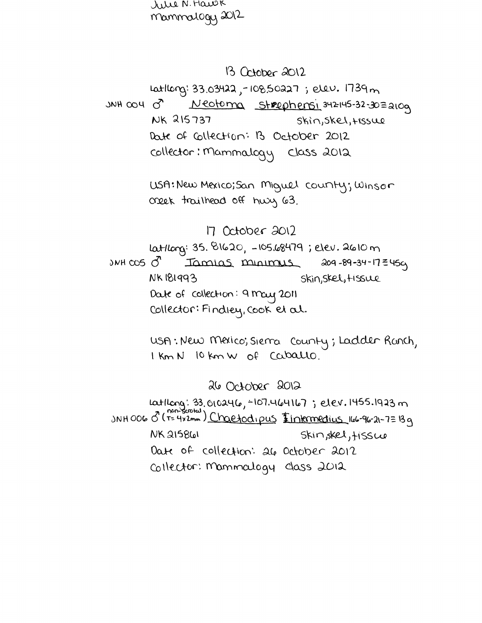rie N. Hawk mammalogy 2012

### 13 October 2012

Latlong: 33.03422, -108.50227; elev. 1739m Neotoma Strophensi 342145-32-30=210g  $30H$  OO 4  $Q$ NK 215737  $Shin, Skel, HSSUQ$ Date of Collection: B October 2012 collector: Mammalogy Class 2012

> USA: New Mexico; San Miguel county; Winson creek trailhead off huy 63.

## 17 October 2012

latlong: 35. 81620, -105.68479; elev. 2610 m 209-89-34-17 = 459  $3NH$   $\infty$ 5  $\sigma$ Tamias minimus **NK181993** Skin, Skel, Hissue Date of collection: 9 may 2011 Collector: Findley, Cook et al.

> USA: New Mexico; Siema County; Ladder Ranch, I Km N 10 km W of Caballo.

> > 26 October 2012

Latilong: 33.010246, -107.464167; elev.1455.1923 m JNHOOG 0 (T= 4x2mm) Chaefod, pus Iintermedius 166-96-21-7=139 **NK 215861** Skin, skel, tissue Date of collection: all October 2012 Collector: Mammalogy class 2012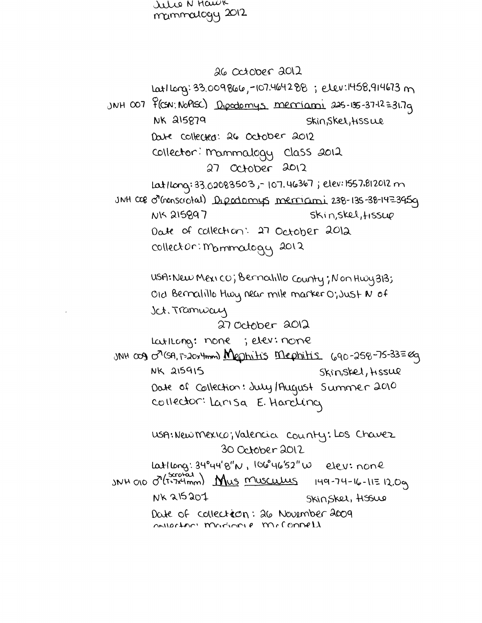allie N Hawk mammalogy 2012

26 October 2012 1 Lat 1 Long: 33.009866, -107.464288; elev:1458, 914673 m JNH 007 f(CSN: NoPISC) Dipedomys merriami 225-135-37-12=31.7g **NK 215879** Skin, Skel, HSS We Date collected: 26 October 2012 collector: mammalogy class 2012 27 October 2012 Lat/Long: 33.02083503, - 107.46367; elev: 1557.812012 m JNH COB O'monscrotal) Dipadomys merriami 238-135-38-14=3959 Skin, skel, Hssue **NK 215897** Date of collection: 27 October 2012 collector: Mammalogy 2012 USA: New Mexico; Bernatillo County; Non Hwy 313; OID Bernalillo Husy near mile marker O; Just N of Sct. Tramway 27 October 2012 Latilong: none; elev: none JNH 009 07(SA, T=20x4mm) Mephilis Mephilis (690-258-75-33=0g **NK 215915** Skin, skel, Hissue Date of Collection: July/August Summer 2010 collector: Larisa E. Hardling usA: New Mexico; Valencia county: Los Chavez 30 October 2012 Latlong: 34°44'8"N, 106°46'52"W elev: none  $3NNH$  010  $O^{(5x0)21}$  Mus <u>Museulus</u> 149-74-16-11=12.0g NK 215207 Skinskel, HSSWe Date of collection: 26 November 2009 notortan mondiante mellonnell